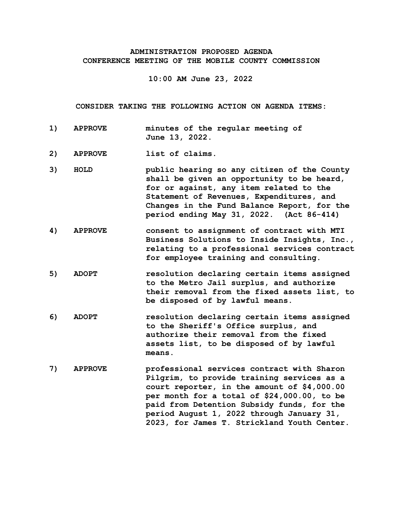## **ADMINISTRATION PROPOSED AGENDA CONFERENCE MEETING OF THE MOBILE COUNTY COMMISSION**

**10:00 AM June 23, 2022**

**CONSIDER TAKING THE FOLLOWING ACTION ON AGENDA ITEMS:**

- **1) APPROVE minutes of the regular meeting of June 13, 2022.**
- **2) APPROVE list of claims.**
- **3) HOLD public hearing so any citizen of the County shall be given an opportunity to be heard, for or against, any item related to the Statement of Revenues, Expenditures, and Changes in the Fund Balance Report, for the period ending May 31, 2022. (Act 86-414)**
- **4) APPROVE consent to assignment of contract with MTI Business Solutions to Inside Insights, Inc., relating to a professional services contract for employee training and consulting.**
- **5) ADOPT resolution declaring certain items assigned to the Metro Jail surplus, and authorize their removal from the fixed assets list, to be disposed of by lawful means.**
- **6) ADOPT resolution declaring certain items assigned to the Sheriff's Office surplus, and authorize their removal from the fixed assets list, to be disposed of by lawful means.**
- **7) APPROVE professional services contract with Sharon Pilgrim, to provide training services as a court reporter, in the amount of \$4,000.00 per month for a total of \$24,000.00, to be paid from Detention Subsidy funds, for the period August 1, 2022 through January 31, 2023, for James T. Strickland Youth Center.**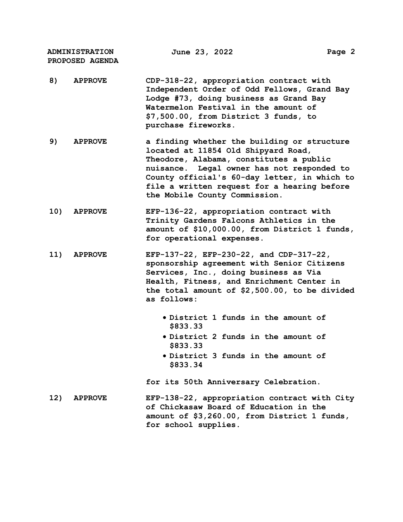**ADMINISTRATION PROPOSED AGENDA June 23, 2022 Page 2**

- **8) APPROVE CDP-318-22, appropriation contract with Independent Order of Odd Fellows, Grand Bay Lodge #73, doing business as Grand Bay Watermelon Festival in the amount of \$7,500.00, from District 3 funds, to purchase fireworks.**
- **9) APPROVE a finding whether the building or structure located at 11854 Old Shipyard Road, Theodore, Alabama, constitutes a public nuisance. Legal owner has not responded to County official's 60-day letter, in which to file a written request for a hearing before the Mobile County Commission.**
- **10) APPROVE EFP-136-22, appropriation contract with Trinity Gardens Falcons Athletics in the amount of \$10,000.00, from District 1 funds, for operational expenses.**
- **11) APPROVE EFP-137-22, EFP-230-22, and CDP-317-22, sponsorship agreement with Senior Citizens Services, Inc., doing business as Via Health, Fitness, and Enrichment Center in the total amount of \$2,500.00, to be divided as follows:**
	- **District 1 funds in the amount of \$833.33**
	- **District 2 funds in the amount of \$833.33**
	- **District 3 funds in the amount of \$833.34**

**for its 50th Anniversary Celebration.**

**12) APPROVE EFP-138-22, appropriation contract with City of Chickasaw Board of Education in the amount of \$3,260.00, from District 1 funds, for school supplies.**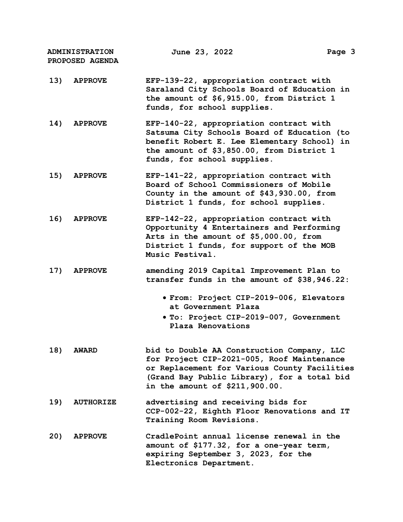| <b>ADMINISTRATION</b><br>PROPOSED AGENDA |                  | June 23, 2022                                                                                                                                                                                                             | Page 3 |
|------------------------------------------|------------------|---------------------------------------------------------------------------------------------------------------------------------------------------------------------------------------------------------------------------|--------|
| 13)                                      | <b>APPROVE</b>   | EFP-139-22, appropriation contract with<br>Saraland City Schools Board of Education in<br>the amount of \$6,915.00, from District 1<br>funds, for school supplies.                                                        |        |
| 14)                                      | <b>APPROVE</b>   | EFP-140-22, appropriation contract with<br>Satsuma City Schools Board of Education (to<br>benefit Robert E. Lee Elementary School) in<br>the amount of \$3,850.00, from District 1<br>funds, for school supplies.         |        |
| 15)                                      | <b>APPROVE</b>   | EFP-141-22, appropriation contract with<br>Board of School Commissioners of Mobile<br>County in the amount of \$43,930.00, from<br>District 1 funds, for school supplies.                                                 |        |
| 16)                                      | <b>APPROVE</b>   | EFP-142-22, appropriation contract with<br>Opportunity 4 Entertainers and Performing<br>Arts in the amount of \$5,000.00, from<br>District 1 funds, for support of the MOB<br>Music Festival.                             |        |
| 17)                                      | <b>APPROVE</b>   | amending 2019 Capital Improvement Plan to<br>transfer funds in the amount of \$38,946.22:                                                                                                                                 |        |
|                                          |                  | · From: Project CIP-2019-006, Elevators<br>at Government Plaza                                                                                                                                                            |        |
|                                          |                  | • To: Project CIP-2019-007, Government<br>Plaza Renovations                                                                                                                                                               |        |
| 18)                                      | <b>AWARD</b>     | bid to Double AA Construction Company, LLC<br>for Project CIP-2021-005, Roof Maintenance<br>or Replacement for Various County Facilities<br>(Grand Bay Public Library), for a total bid<br>in the amount of \$211,900.00. |        |
| 19)                                      | <b>AUTHORIZE</b> | advertising and receiving bids for<br>CCP-002-22, Eighth Floor Renovations and IT<br>Training Room Revisions.                                                                                                             |        |
| 20)                                      | <b>APPROVE</b>   | CradlePoint annual license renewal in the<br>amount of \$177.32, for a one-year term,<br>expiring September 3, 2023, for the<br>Electronics Department.                                                                   |        |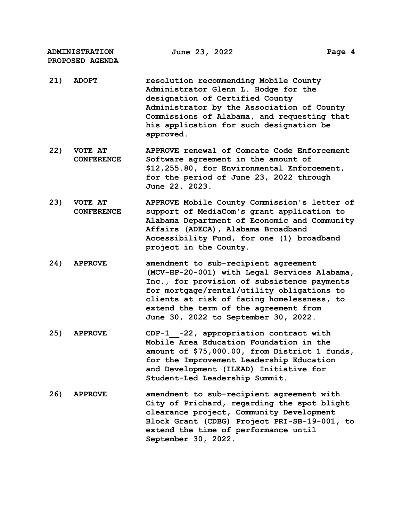**ADMINISTRATION PROPOSED AGENDA**

- **21) ADOPT resolution recommending Mobile County Administrator Glenn L. Hodge for the designation of Certified County Administrator by the Association of County Commissions of Alabama, and requesting that his application for such designation be approved.**
- **22) VOTE AT CONFERENCE APPROVE renewal of Comcate Code Enforcement Software agreement in the amount of \$12,255.80, for Environmental Enforcement, for the period of June 23, 2022 through June 22, 2023.**
- **23) VOTE AT CONFERENCE APPROVE Mobile County Commission's letter of support of MediaCom's grant application to Alabama Department of Economic and Community Affairs (ADECA), Alabama Broadband Accessibility Fund, for one (1) broadband project in the County.**
- **24) APPROVE amendment to sub-recipient agreement (MCV-HP-20-001) with Legal Services Alabama, Inc., for provision of subsistence payments for mortgage/rental/utility obligations to clients at risk of facing homelessness, to extend the term of the agreement from June 30, 2022 to September 30, 2022.**
- **25) APPROVE CDP-1\_\_-22, appropriation contract with Mobile Area Education Foundation in the amount of \$75,000.00, from District 1 funds, for the Improvement Leadership Education and Development (ILEAD) Initiative for Student-Led Leadership Summit.**
- **26) APPROVE amendment to sub-recipient agreement with City of Prichard, regarding the spot blight clearance project, Community Development Block Grant (CDBG) Project PRI-SB-19-001, to extend the time of performance until September 30, 2022.**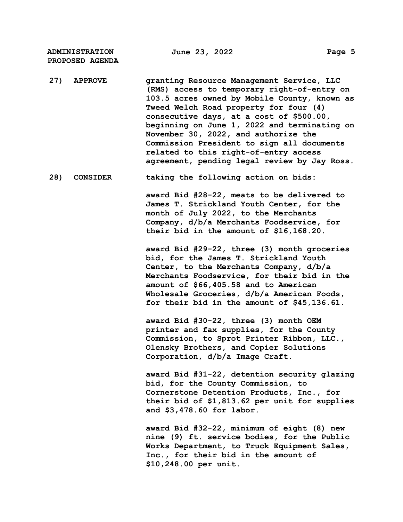**ADMINISTRATION PROPOSED AGENDA**

**27) APPROVE granting Resource Management Service, LLC (RMS) access to temporary right-of-entry on 103.5 acres owned by Mobile County, known as Tweed Welch Road property for four (4) consecutive days, at a cost of \$500.00, beginning on June 1, 2022 and terminating on November 30, 2022, and authorize the Commission President to sign all documents related to this right-of-entry access agreement, pending legal review by Jay Ross.**

**28) CONSIDER taking the following action on bids:**

**award Bid #28-22, meats to be delivered to James T. Strickland Youth Center, for the month of July 2022, to the Merchants Company, d/b/a Merchants Foodservice, for their bid in the amount of \$16,168.20.**

**award Bid #29-22, three (3) month groceries bid, for the James T. Strickland Youth Center, to the Merchants Company, d/b/a Merchants Foodservice, for their bid in the amount of \$66,405.58 and to American Wholesale Groceries, d/b/a American Foods, for their bid in the amount of \$45,136.61.**

**award Bid #30-22, three (3) month OEM printer and fax supplies, for the County Commission, to Sprot Printer Ribbon, LLC., Olensky Brothers, and Copier Solutions Corporation, d/b/a Image Craft.**

**award Bid #31-22, detention security glazing bid, for the County Commission, to Cornerstone Detention Products, Inc., for their bid of \$1,813.62 per unit for supplies and \$3,478.60 for labor.**

**award Bid #32-22, minimum of eight (8) new nine (9) ft. service bodies, for the Public Works Department, to Truck Equipment Sales, Inc., for their bid in the amount of \$10,248.00 per unit.**